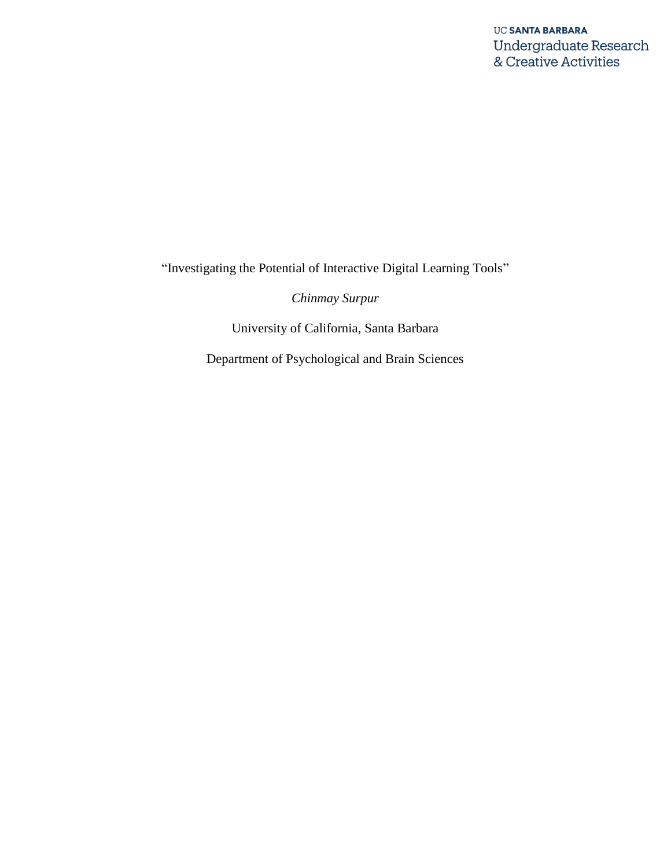"Investigating the Potential of Interactive Digital Learning Tools"

*Chinmay Surpur*

University of California, Santa Barbara

Department of Psychological and Brain Sciences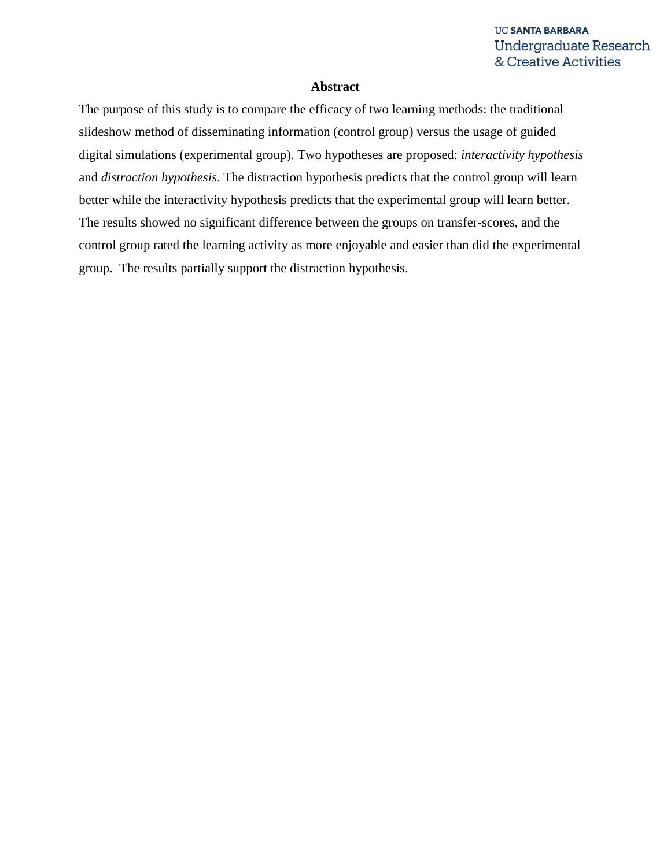## **Abstract**

The purpose of this study is to compare the efficacy of two learning methods: the traditional slideshow method of disseminating information (control group) versus the usage of guided digital simulations (experimental group). Two hypotheses are proposed: *interactivity hypothesis* and *distraction hypothesis*. The distraction hypothesis predicts that the control group will learn better while the interactivity hypothesis predicts that the experimental group will learn better. The results showed no significant difference between the groups on transfer-scores, and the control group rated the learning activity as more enjoyable and easier than did the experimental group. The results partially support the distraction hypothesis.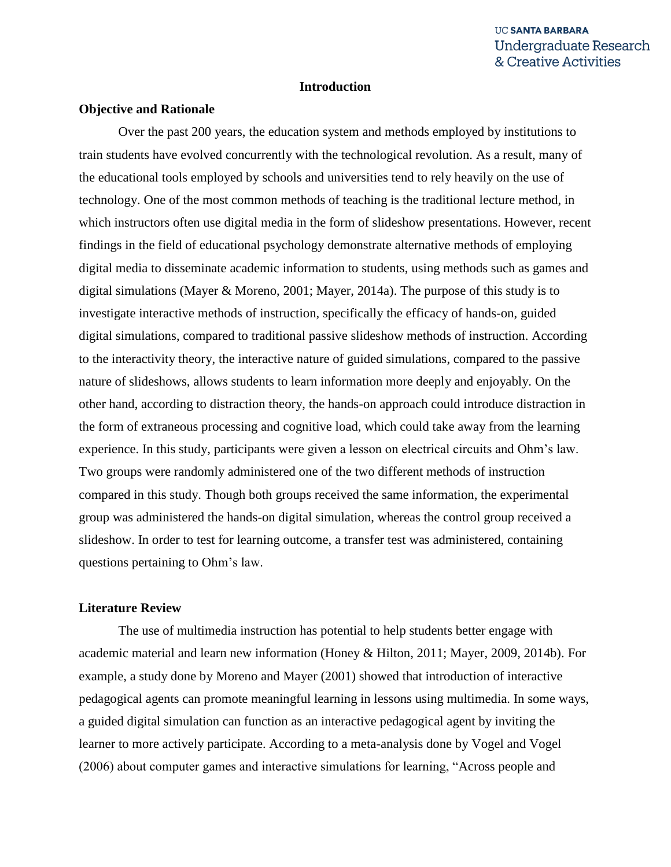#### **Introduction**

#### **Objective and Rationale**

Over the past 200 years, the education system and methods employed by institutions to train students have evolved concurrently with the technological revolution. As a result, many of the educational tools employed by schools and universities tend to rely heavily on the use of technology. One of the most common methods of teaching is the traditional lecture method, in which instructors often use digital media in the form of slideshow presentations. However, recent findings in the field of educational psychology demonstrate alternative methods of employing digital media to disseminate academic information to students, using methods such as games and digital simulations (Mayer & Moreno, 2001; Mayer, 2014a). The purpose of this study is to investigate interactive methods of instruction, specifically the efficacy of hands-on, guided digital simulations, compared to traditional passive slideshow methods of instruction. According to the interactivity theory, the interactive nature of guided simulations, compared to the passive nature of slideshows, allows students to learn information more deeply and enjoyably. On the other hand, according to distraction theory, the hands-on approach could introduce distraction in the form of extraneous processing and cognitive load, which could take away from the learning experience. In this study, participants were given a lesson on electrical circuits and Ohm's law. Two groups were randomly administered one of the two different methods of instruction compared in this study. Though both groups received the same information, the experimental group was administered the hands-on digital simulation, whereas the control group received a slideshow. In order to test for learning outcome, a transfer test was administered, containing questions pertaining to Ohm's law.

## **Literature Review**

The use of multimedia instruction has potential to help students better engage with academic material and learn new information (Honey & Hilton, 2011; Mayer, 2009, 2014b). For example, a study done by Moreno and Mayer (2001) showed that introduction of interactive pedagogical agents can promote meaningful learning in lessons using multimedia. In some ways, a guided digital simulation can function as an interactive pedagogical agent by inviting the learner to more actively participate. According to a meta-analysis done by Vogel and Vogel (2006) about computer games and interactive simulations for learning, "Across people and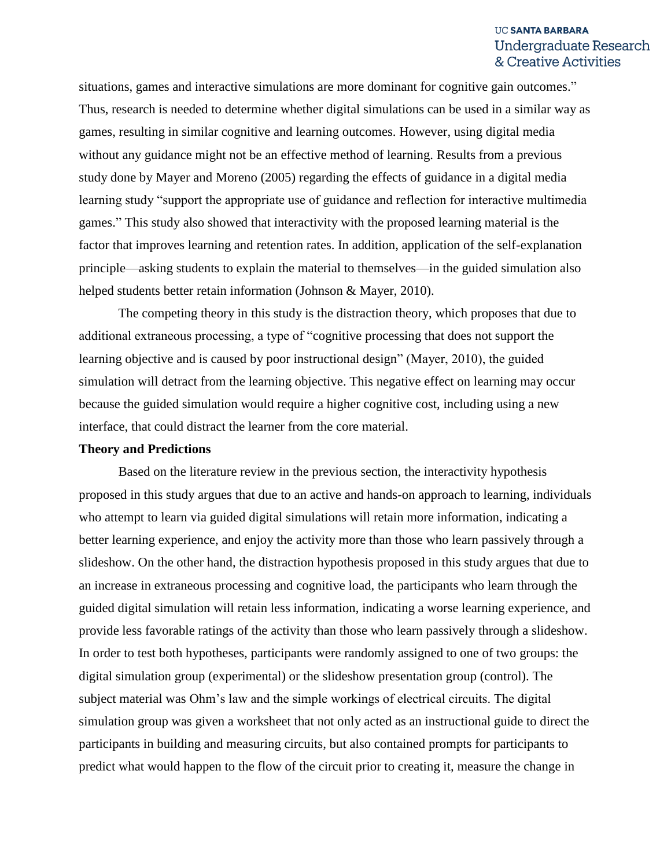situations, games and interactive simulations are more dominant for cognitive gain outcomes." Thus, research is needed to determine whether digital simulations can be used in a similar way as games, resulting in similar cognitive and learning outcomes. However, using digital media without any guidance might not be an effective method of learning. Results from a previous study done by Mayer and Moreno (2005) regarding the effects of guidance in a digital media learning study "support the appropriate use of guidance and reflection for interactive multimedia games." This study also showed that interactivity with the proposed learning material is the factor that improves learning and retention rates. In addition, application of the self-explanation principle—asking students to explain the material to themselves—in the guided simulation also helped students better retain information (Johnson & Mayer, 2010).

The competing theory in this study is the distraction theory, which proposes that due to additional extraneous processing, a type of "cognitive processing that does not support the learning objective and is caused by poor instructional design" (Mayer, 2010), the guided simulation will detract from the learning objective. This negative effect on learning may occur because the guided simulation would require a higher cognitive cost, including using a new interface, that could distract the learner from the core material.

#### **Theory and Predictions**

Based on the literature review in the previous section, the interactivity hypothesis proposed in this study argues that due to an active and hands-on approach to learning, individuals who attempt to learn via guided digital simulations will retain more information, indicating a better learning experience, and enjoy the activity more than those who learn passively through a slideshow. On the other hand, the distraction hypothesis proposed in this study argues that due to an increase in extraneous processing and cognitive load, the participants who learn through the guided digital simulation will retain less information, indicating a worse learning experience, and provide less favorable ratings of the activity than those who learn passively through a slideshow. In order to test both hypotheses, participants were randomly assigned to one of two groups: the digital simulation group (experimental) or the slideshow presentation group (control). The subject material was Ohm's law and the simple workings of electrical circuits. The digital simulation group was given a worksheet that not only acted as an instructional guide to direct the participants in building and measuring circuits, but also contained prompts for participants to predict what would happen to the flow of the circuit prior to creating it, measure the change in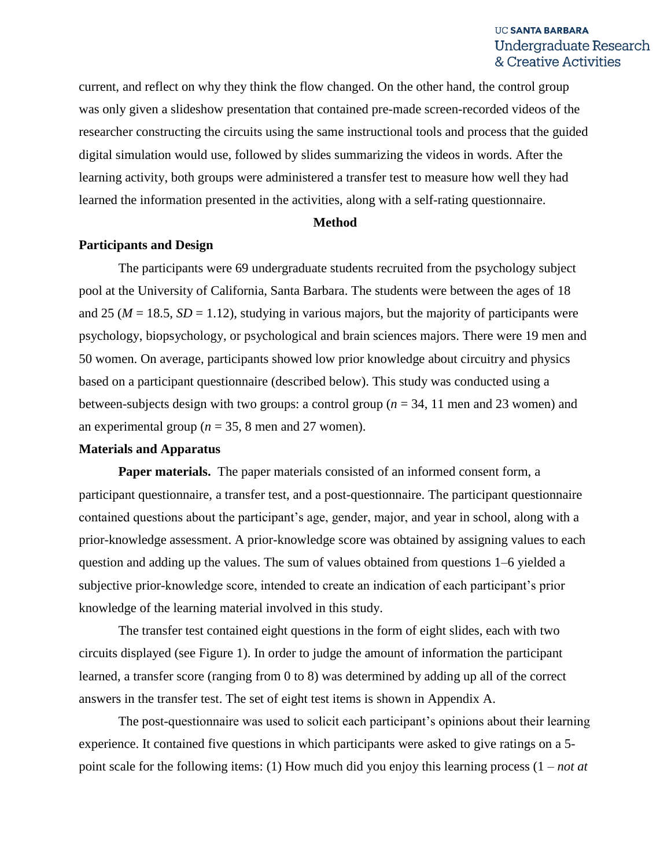current, and reflect on why they think the flow changed. On the other hand, the control group was only given a slideshow presentation that contained pre-made screen-recorded videos of the researcher constructing the circuits using the same instructional tools and process that the guided digital simulation would use, followed by slides summarizing the videos in words. After the learning activity, both groups were administered a transfer test to measure how well they had learned the information presented in the activities, along with a self-rating questionnaire.

#### **Method**

#### **Participants and Design**

The participants were 69 undergraduate students recruited from the psychology subject pool at the University of California, Santa Barbara. The students were between the ages of 18 and 25 ( $M = 18.5$ ,  $SD = 1.12$ ), studying in various majors, but the majority of participants were psychology, biopsychology, or psychological and brain sciences majors. There were 19 men and 50 women. On average, participants showed low prior knowledge about circuitry and physics based on a participant questionnaire (described below). This study was conducted using a between-subjects design with two groups: a control group (*n* = 34, 11 men and 23 women) and an experimental group ( $n = 35$ , 8 men and 27 women).

#### **Materials and Apparatus**

**Paper materials.** The paper materials consisted of an informed consent form, a participant questionnaire, a transfer test, and a post-questionnaire. The participant questionnaire contained questions about the participant's age, gender, major, and year in school, along with a prior-knowledge assessment. A prior-knowledge score was obtained by assigning values to each question and adding up the values. The sum of values obtained from questions 1–6 yielded a subjective prior-knowledge score, intended to create an indication of each participant's prior knowledge of the learning material involved in this study.

The transfer test contained eight questions in the form of eight slides, each with two circuits displayed (see Figure 1). In order to judge the amount of information the participant learned, a transfer score (ranging from 0 to 8) was determined by adding up all of the correct answers in the transfer test. The set of eight test items is shown in Appendix A.

The post-questionnaire was used to solicit each participant's opinions about their learning experience. It contained five questions in which participants were asked to give ratings on a 5 point scale for the following items: (1) How much did you enjoy this learning process (1 – *not at*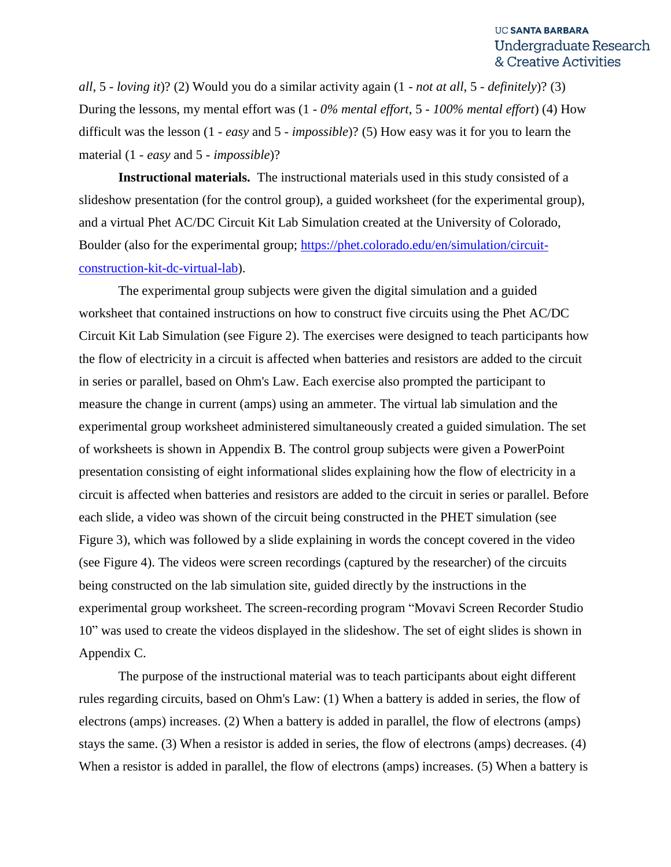*all*, 5 - *loving it*)? (2) Would you do a similar activity again (1 - *not at all*, 5 - *definitely*)? (3) During the lessons, my mental effort was (1 - *0% mental effort*, 5 - *100% mental effort*) (4) How difficult was the lesson (1 - *easy* and 5 - *impossible*)? (5) How easy was it for you to learn the material (1 - *easy* and 5 - *impossible*)?

**Instructional materials.** The instructional materials used in this study consisted of a slideshow presentation (for the control group), a guided worksheet (for the experimental group), and a virtual Phet AC/DC Circuit Kit Lab Simulation created at the University of Colorado, Boulder (also for the experimental group; [https://phet.colorado.edu/en/simulation/circuit](https://phet.colorado.edu/en/simulation/circuit-construction-kit-dc-virtual-lab)[construction-kit-dc-virtual-lab\)](https://phet.colorado.edu/en/simulation/circuit-construction-kit-dc-virtual-lab).

The experimental group subjects were given the digital simulation and a guided worksheet that contained instructions on how to construct five circuits using the Phet AC/DC Circuit Kit Lab Simulation (see Figure 2). The exercises were designed to teach participants how the flow of electricity in a circuit is affected when batteries and resistors are added to the circuit in series or parallel, based on Ohm's Law. Each exercise also prompted the participant to measure the change in current (amps) using an ammeter. The virtual lab simulation and the experimental group worksheet administered simultaneously created a guided simulation. The set of worksheets is shown in Appendix B. The control group subjects were given a PowerPoint presentation consisting of eight informational slides explaining how the flow of electricity in a circuit is affected when batteries and resistors are added to the circuit in series or parallel. Before each slide, a video was shown of the circuit being constructed in the PHET simulation (see Figure 3), which was followed by a slide explaining in words the concept covered in the video (see Figure 4). The videos were screen recordings (captured by the researcher) of the circuits being constructed on the lab simulation site, guided directly by the instructions in the experimental group worksheet. The screen-recording program "Movavi Screen Recorder Studio 10" was used to create the videos displayed in the slideshow. The set of eight slides is shown in Appendix C.

The purpose of the instructional material was to teach participants about eight different rules regarding circuits, based on Ohm's Law: (1) When a battery is added in series, the flow of electrons (amps) increases. (2) When a battery is added in parallel, the flow of electrons (amps) stays the same. (3) When a resistor is added in series, the flow of electrons (amps) decreases. (4) When a resistor is added in parallel, the flow of electrons (amps) increases. (5) When a battery is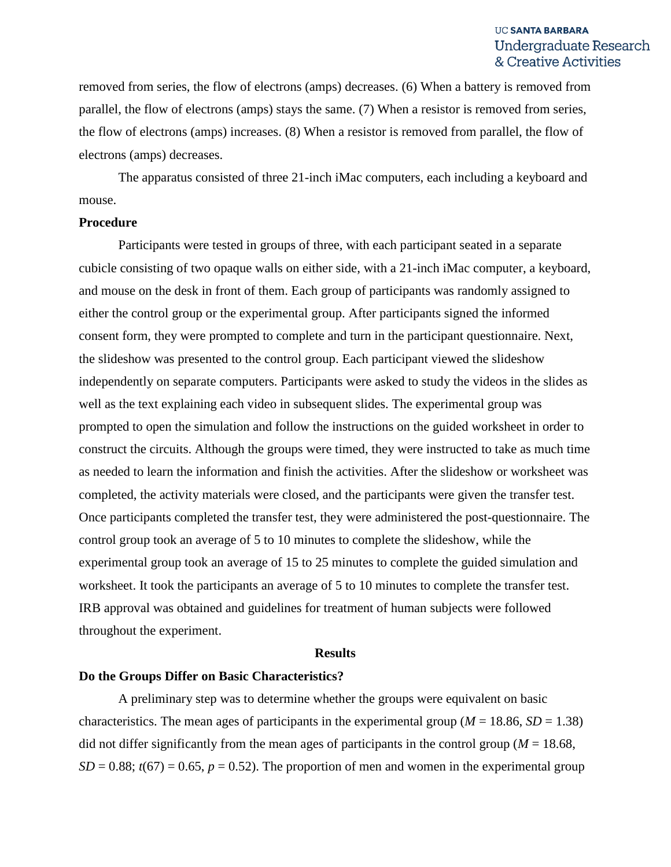removed from series, the flow of electrons (amps) decreases. (6) When a battery is removed from parallel, the flow of electrons (amps) stays the same. (7) When a resistor is removed from series, the flow of electrons (amps) increases. (8) When a resistor is removed from parallel, the flow of electrons (amps) decreases.

The apparatus consisted of three 21-inch iMac computers, each including a keyboard and mouse.

#### **Procedure**

Participants were tested in groups of three, with each participant seated in a separate cubicle consisting of two opaque walls on either side, with a 21-inch iMac computer, a keyboard, and mouse on the desk in front of them. Each group of participants was randomly assigned to either the control group or the experimental group. After participants signed the informed consent form, they were prompted to complete and turn in the participant questionnaire. Next, the slideshow was presented to the control group. Each participant viewed the slideshow independently on separate computers. Participants were asked to study the videos in the slides as well as the text explaining each video in subsequent slides. The experimental group was prompted to open the simulation and follow the instructions on the guided worksheet in order to construct the circuits. Although the groups were timed, they were instructed to take as much time as needed to learn the information and finish the activities. After the slideshow or worksheet was completed, the activity materials were closed, and the participants were given the transfer test. Once participants completed the transfer test, they were administered the post-questionnaire. The control group took an average of 5 to 10 minutes to complete the slideshow, while the experimental group took an average of 15 to 25 minutes to complete the guided simulation and worksheet. It took the participants an average of 5 to 10 minutes to complete the transfer test. IRB approval was obtained and guidelines for treatment of human subjects were followed throughout the experiment.

#### **Results**

#### **Do the Groups Differ on Basic Characteristics?**

A preliminary step was to determine whether the groups were equivalent on basic characteristics. The mean ages of participants in the experimental group ( $M = 18.86$ ,  $SD = 1.38$ ) did not differ significantly from the mean ages of participants in the control group ( $M = 18.68$ ,  $SD = 0.88$ ;  $t(67) = 0.65$ ,  $p = 0.52$ ). The proportion of men and women in the experimental group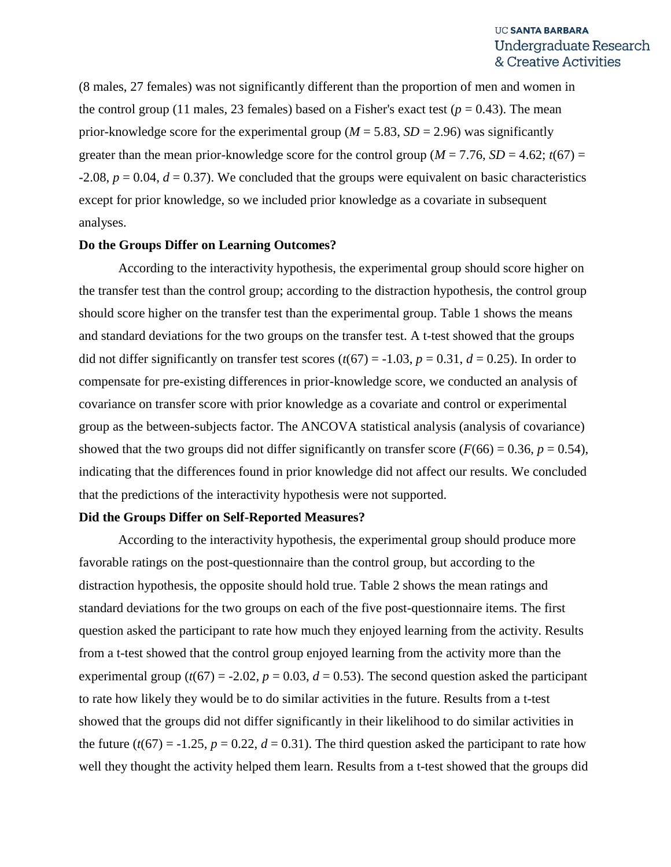(8 males, 27 females) was not significantly different than the proportion of men and women in the control group (11 males, 23 females) based on a Fisher's exact test ( $p = 0.43$ ). The mean prior-knowledge score for the experimental group ( $M = 5.83$ ,  $SD = 2.96$ ) was significantly greater than the mean prior-knowledge score for the control group ( $M = 7.76$ ,  $SD = 4.62$ ;  $t(67) =$  $-2.08$ ,  $p = 0.04$ ,  $d = 0.37$ ). We concluded that the groups were equivalent on basic characteristics except for prior knowledge, so we included prior knowledge as a covariate in subsequent analyses.

#### **Do the Groups Differ on Learning Outcomes?**

According to the interactivity hypothesis, the experimental group should score higher on the transfer test than the control group; according to the distraction hypothesis, the control group should score higher on the transfer test than the experimental group. Table 1 shows the means and standard deviations for the two groups on the transfer test. A t-test showed that the groups did not differ significantly on transfer test scores  $(t(67) = -1.03, p = 0.31, d = 0.25)$ . In order to compensate for pre-existing differences in prior-knowledge score, we conducted an analysis of covariance on transfer score with prior knowledge as a covariate and control or experimental group as the between-subjects factor. The ANCOVA statistical analysis (analysis of covariance) showed that the two groups did not differ significantly on transfer score  $(F(66) = 0.36, p = 0.54)$ , indicating that the differences found in prior knowledge did not affect our results. We concluded that the predictions of the interactivity hypothesis were not supported.

#### **Did the Groups Differ on Self-Reported Measures?**

According to the interactivity hypothesis, the experimental group should produce more favorable ratings on the post-questionnaire than the control group, but according to the distraction hypothesis, the opposite should hold true. Table 2 shows the mean ratings and standard deviations for the two groups on each of the five post-questionnaire items. The first question asked the participant to rate how much they enjoyed learning from the activity. Results from a t-test showed that the control group enjoyed learning from the activity more than the experimental group ( $t(67) = -2.02$ ,  $p = 0.03$ ,  $d = 0.53$ ). The second question asked the participant to rate how likely they would be to do similar activities in the future. Results from a t*-*test showed that the groups did not differ significantly in their likelihood to do similar activities in the future  $(t(67) = -1.25, p = 0.22, d = 0.31)$ . The third question asked the participant to rate how well they thought the activity helped them learn. Results from a t*-*test showed that the groups did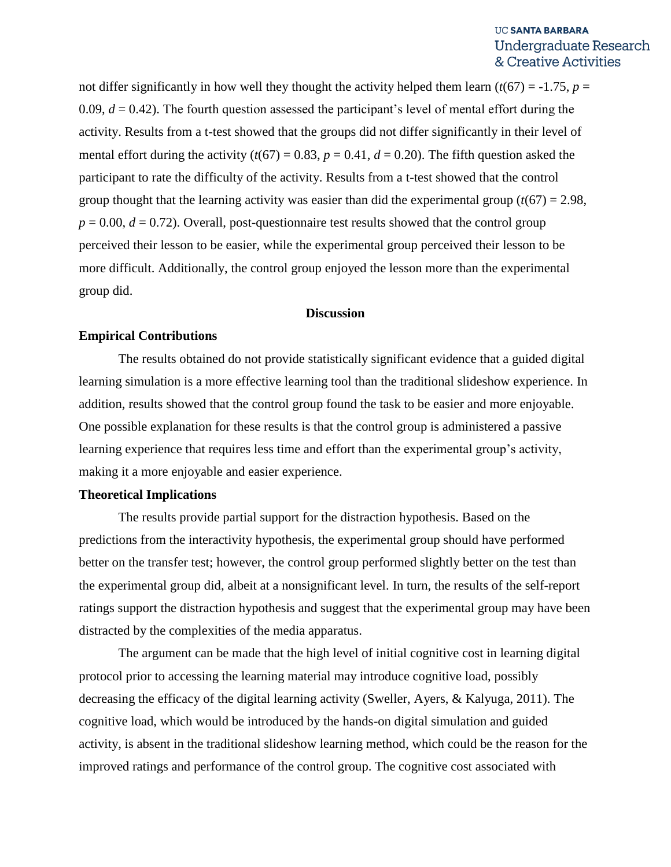not differ significantly in how well they thought the activity helped them learn  $(t(67) = -1.75, p =$ 0.09,  $d = 0.42$ ). The fourth question assessed the participant's level of mental effort during the activity. Results from a t*-*test showed that the groups did not differ significantly in their level of mental effort during the activity  $(t(67) = 0.83, p = 0.41, d = 0.20)$ . The fifth question asked the participant to rate the difficulty of the activity. Results from a t-test showed that the control group thought that the learning activity was easier than did the experimental group  $(t(67) = 2.98$ ,  $p = 0.00$ ,  $d = 0.72$ ). Overall, post-questionnaire test results showed that the control group perceived their lesson to be easier, while the experimental group perceived their lesson to be more difficult. Additionally, the control group enjoyed the lesson more than the experimental group did.

## **Discussion**

#### **Empirical Contributions**

The results obtained do not provide statistically significant evidence that a guided digital learning simulation is a more effective learning tool than the traditional slideshow experience. In addition, results showed that the control group found the task to be easier and more enjoyable. One possible explanation for these results is that the control group is administered a passive learning experience that requires less time and effort than the experimental group's activity, making it a more enjoyable and easier experience.

## **Theoretical Implications**

The results provide partial support for the distraction hypothesis. Based on the predictions from the interactivity hypothesis, the experimental group should have performed better on the transfer test; however, the control group performed slightly better on the test than the experimental group did, albeit at a nonsignificant level. In turn, the results of the self-report ratings support the distraction hypothesis and suggest that the experimental group may have been distracted by the complexities of the media apparatus.

The argument can be made that the high level of initial cognitive cost in learning digital protocol prior to accessing the learning material may introduce cognitive load, possibly decreasing the efficacy of the digital learning activity (Sweller, Ayers, & Kalyuga, 2011). The cognitive load, which would be introduced by the hands-on digital simulation and guided activity, is absent in the traditional slideshow learning method, which could be the reason for the improved ratings and performance of the control group. The cognitive cost associated with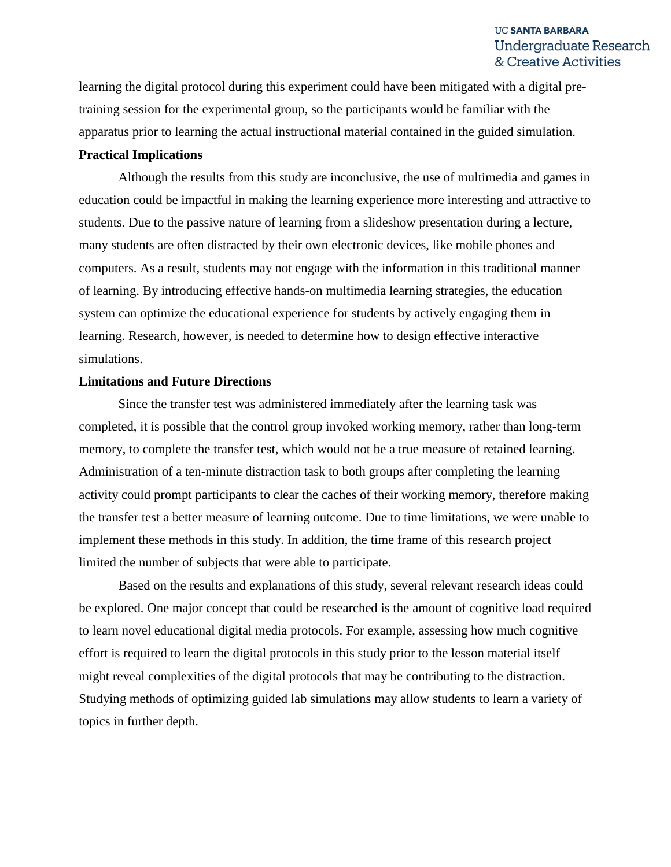learning the digital protocol during this experiment could have been mitigated with a digital pretraining session for the experimental group, so the participants would be familiar with the apparatus prior to learning the actual instructional material contained in the guided simulation.

#### **Practical Implications**

Although the results from this study are inconclusive, the use of multimedia and games in education could be impactful in making the learning experience more interesting and attractive to students. Due to the passive nature of learning from a slideshow presentation during a lecture, many students are often distracted by their own electronic devices, like mobile phones and computers. As a result, students may not engage with the information in this traditional manner of learning. By introducing effective hands-on multimedia learning strategies, the education system can optimize the educational experience for students by actively engaging them in learning. Research, however, is needed to determine how to design effective interactive simulations.

# **Limitations and Future Directions**

Since the transfer test was administered immediately after the learning task was completed, it is possible that the control group invoked working memory, rather than long-term memory, to complete the transfer test, which would not be a true measure of retained learning. Administration of a ten-minute distraction task to both groups after completing the learning activity could prompt participants to clear the caches of their working memory, therefore making the transfer test a better measure of learning outcome. Due to time limitations, we were unable to implement these methods in this study. In addition, the time frame of this research project limited the number of subjects that were able to participate.

Based on the results and explanations of this study, several relevant research ideas could be explored. One major concept that could be researched is the amount of cognitive load required to learn novel educational digital media protocols. For example, assessing how much cognitive effort is required to learn the digital protocols in this study prior to the lesson material itself might reveal complexities of the digital protocols that may be contributing to the distraction. Studying methods of optimizing guided lab simulations may allow students to learn a variety of topics in further depth.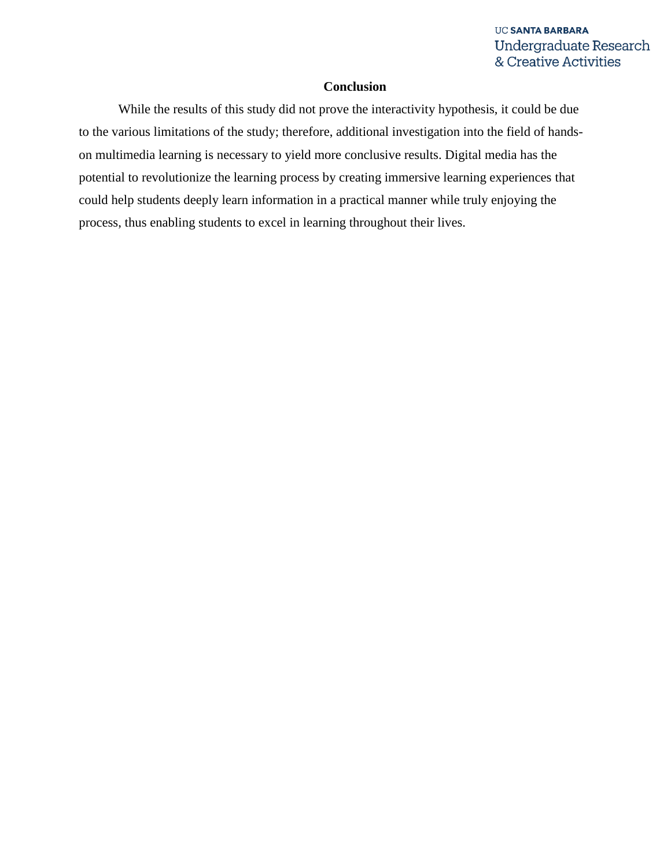# **Conclusion**

While the results of this study did not prove the interactivity hypothesis, it could be due to the various limitations of the study; therefore, additional investigation into the field of handson multimedia learning is necessary to yield more conclusive results. Digital media has the potential to revolutionize the learning process by creating immersive learning experiences that could help students deeply learn information in a practical manner while truly enjoying the process, thus enabling students to excel in learning throughout their lives.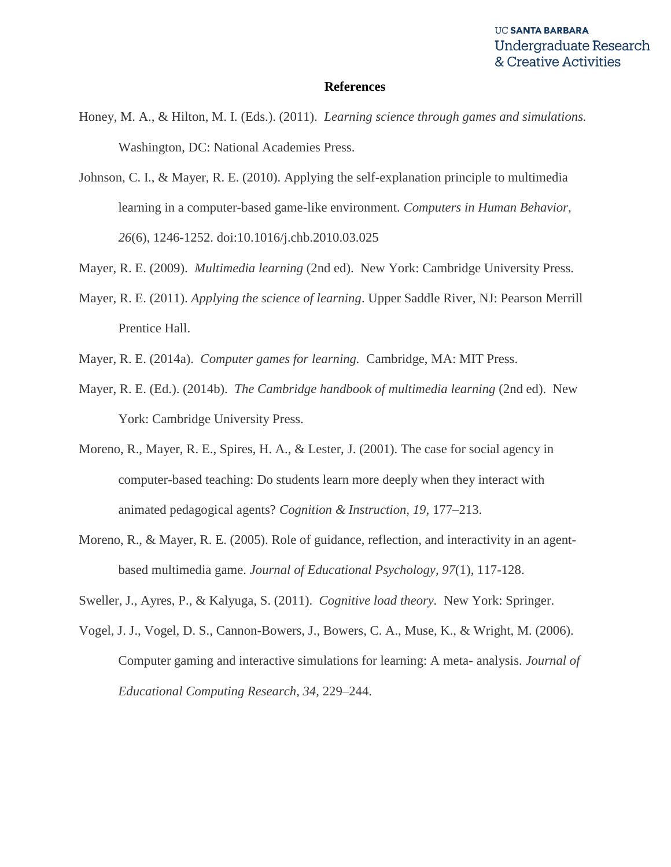#### **References**

- Honey, M. A., & Hilton, M. I. (Eds.). (2011). *Learning science through games and simulations.*  Washington, DC: National Academies Press.
- Johnson, C. I., & Mayer, R. E. (2010). Applying the self-explanation principle to multimedia learning in a computer-based game-like environment. *Computers in Human Behavior, 26*(6), 1246-1252. doi:10.1016/j.chb.2010.03.025
- Mayer, R. E. (2009). *Multimedia learning* (2nd ed). New York: Cambridge University Press.
- Mayer, R. E. (2011). *Applying the science of learning*. Upper Saddle River, NJ: Pearson Merrill Prentice Hall.
- Mayer, R. E. (2014a). *Computer games for learning.* Cambridge, MA: MIT Press.
- Mayer, R. E. (Ed.). (2014b). *The Cambridge handbook of multimedia learning* (2nd ed). New York: Cambridge University Press.
- Moreno, R., Mayer, R. E., Spires, H. A., & Lester, J. (2001). The case for social agency in computer-based teaching: Do students learn more deeply when they interact with animated pedagogical agents? *Cognition & Instruction, 19,* 177–213.
- Moreno, R., & Mayer, R. E. (2005). Role of guidance, reflection, and interactivity in an agentbased multimedia game. *Journal of Educational Psychology, 97*(1), 117-128.
- Sweller, J., Ayres, P., & Kalyuga, S. (2011). *Cognitive load theory.* New York: Springer.
- Vogel, J. J., Vogel, D. S., Cannon-Bowers, J., Bowers, C. A., Muse, K., & Wright, M. (2006). Computer gaming and interactive simulations for learning: A meta- analysis. *Journal of Educational Computing Research, 34,* 229–244.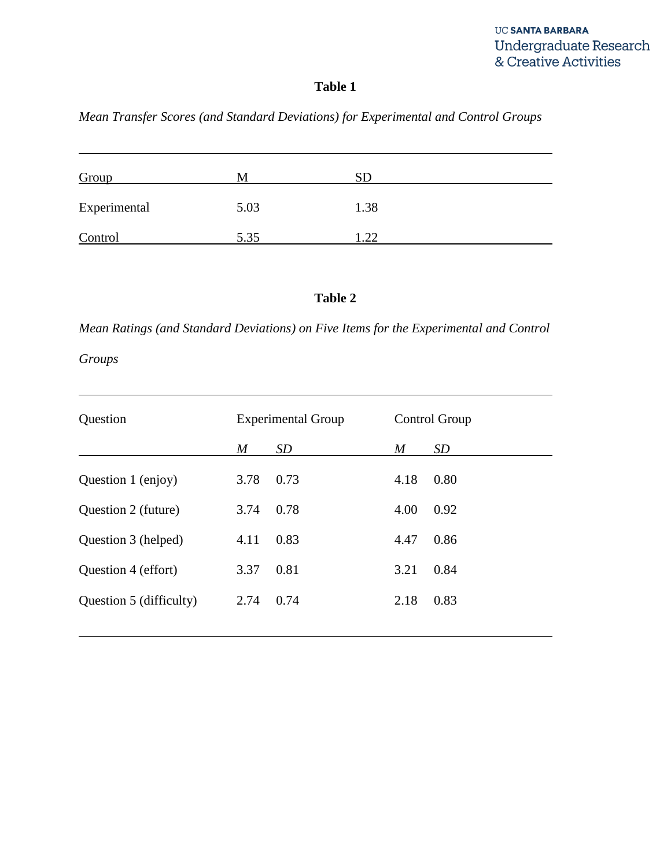# **Table 1**

# *Mean Transfer Scores (and Standard Deviations) for Experimental and Control Groups*

| Group        | М    | <b>SD</b> |  |
|--------------|------|-----------|--|
| Experimental | 5.03 | 1.38      |  |
| Control      | 5.35 | .22       |  |

# **Table 2**

*Mean Ratings (and Standard Deviations) on Five Items for the Experimental and Control* 

*Groups*

| Question                | <b>Experimental Group</b> |           | Control Group |           |
|-------------------------|---------------------------|-----------|---------------|-----------|
|                         | $\boldsymbol{M}$          | <i>SD</i> | M             | <i>SD</i> |
| Question 1 (enjoy)      | 3.78                      | 0.73      | 4.18          | 0.80      |
| Question 2 (future)     | 3.74                      | 0.78      | 4.00          | 0.92      |
| Question 3 (helped)     | 4.11                      | 0.83      | 4.47          | 0.86      |
| Question 4 (effort)     | 3.37                      | 0.81      | 3.21          | 0.84      |
| Question 5 (difficulty) | 2.74                      | 0.74      | 2.18          | 0.83      |
|                         |                           |           |               |           |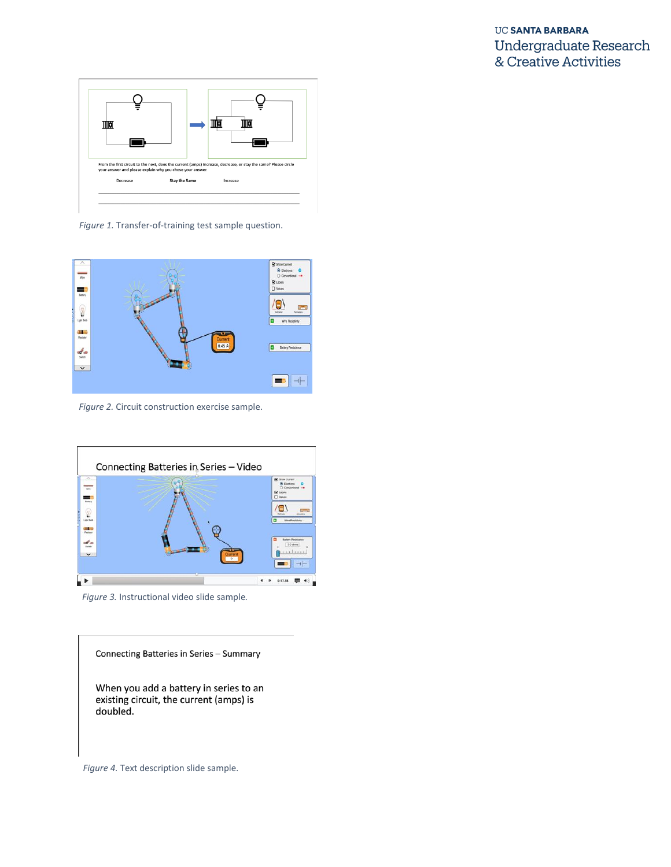

*Figure 1.* Transfer-of-training test sample question.



*Figure 2.* Circuit construction exercise sample.



*Figure 3.* Instructional video slide sample*.*

Connecting Batteries in Series - Summary When you add a battery in series to an existing circuit, the current (amps) is doubled.

*Figure 4.* Text description slide sample.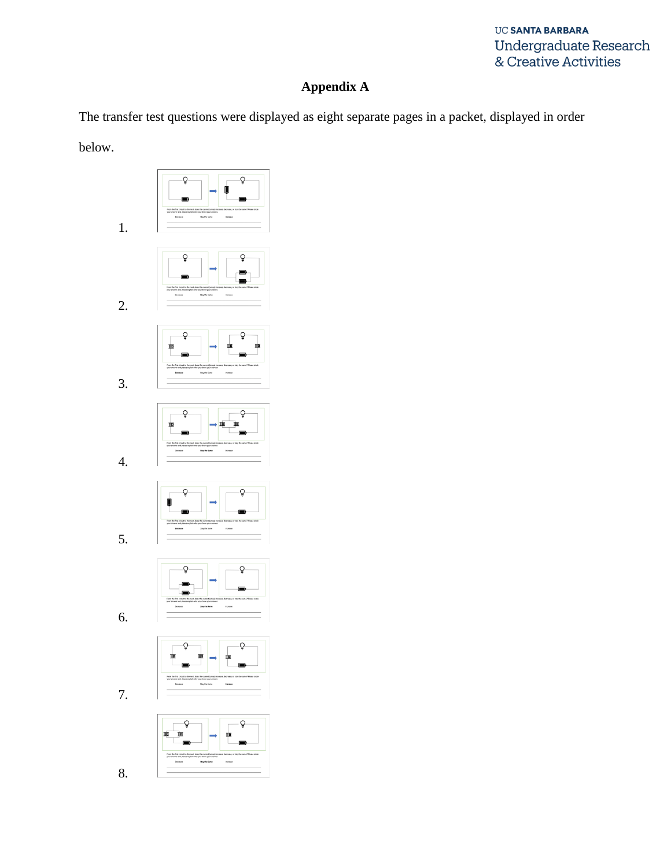# **Appendix A**

The transfer test questions were displayed as eight separate pages in a packet, displayed in order

below.

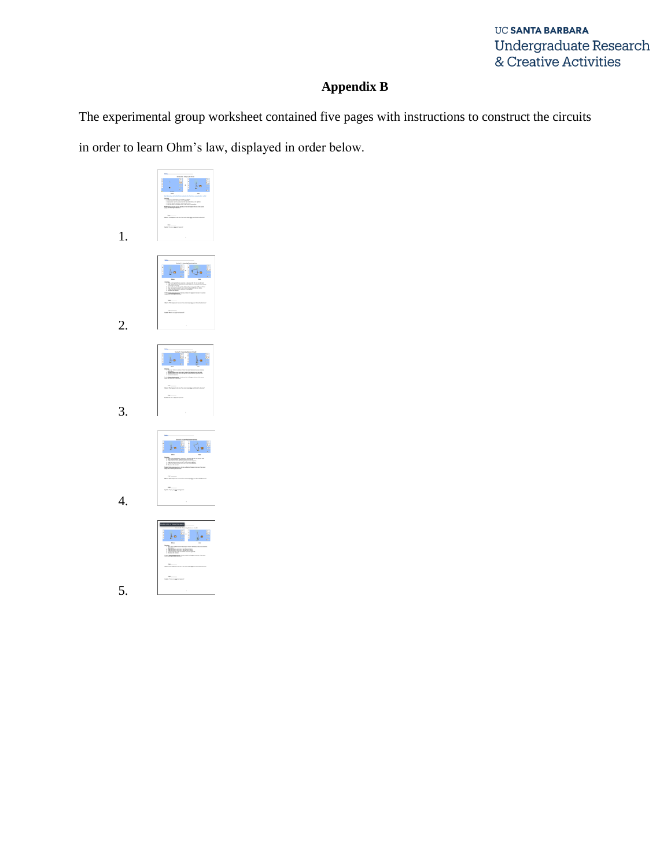# **Appendix B**

The experimental group worksheet contained five pages with instructions to construct the circuits

in order to learn Ohm's law, displayed in order below.

| $\frac{1}{2}$ $\frac{1}{2}$ $\frac{1}{2}$ $\frac{1}{2}$<br>1.<br>ł |
|--------------------------------------------------------------------|
|                                                                    |
| i ja<br>E.<br>}≡.<br>1220<br>這<br><b>Southern</b><br>2.<br>$\sim$  |
|                                                                    |
| $M = \frac{1}{2}$<br>þ.<br>ıÉ<br>-----------------                 |
|                                                                    |
| 3.<br>$\overline{1}$                                               |
|                                                                    |
| $\mathbf{h}$ , $\mathbf{v}$<br>L<br>ļ.<br>$\overline{\phantom{a}}$ |
|                                                                    |
| 4.                                                                 |
| cita u his shis uso<br>E.<br>$\mathbf{1}_{\mathbf{A}}$<br>iΞ       |
| nay<br>A Th A ya <u>Bib</u> beloped                                |
| ï                                                                  |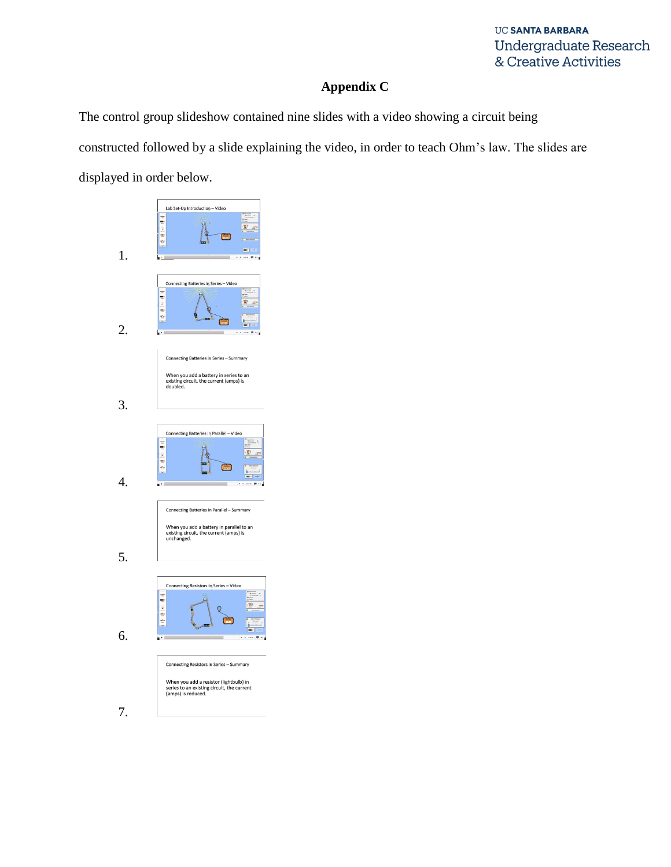# **Appendix C**

The control group slideshow contained nine slides with a video showing a circuit being constructed followed by a slide explaining the video, in order to teach Ohm's law. The slides are displayed in order below.